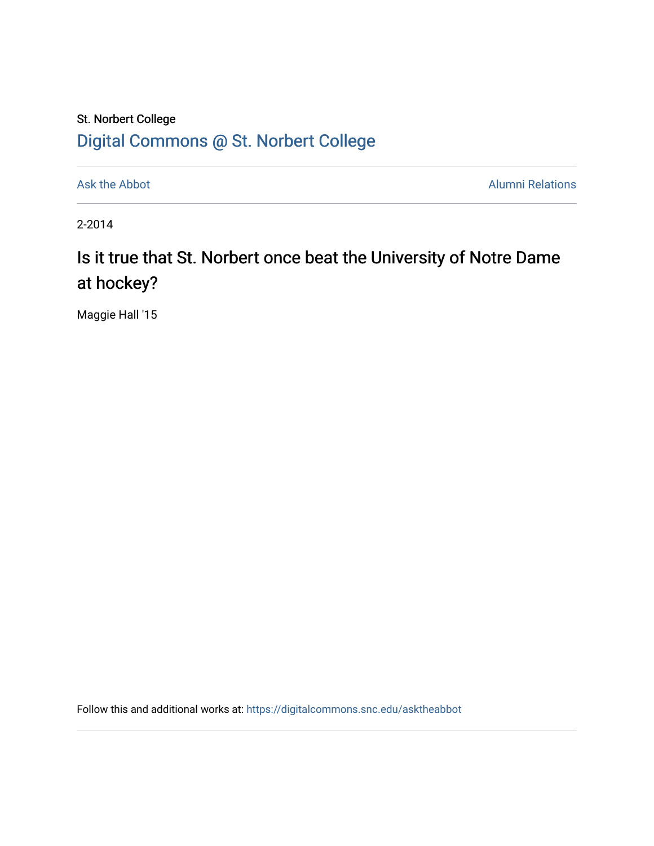## St. Norbert College [Digital Commons @ St. Norbert College](https://digitalcommons.snc.edu/)

[Ask the Abbot](https://digitalcommons.snc.edu/asktheabbot) **Alumni Relations** Alumni Relations

2-2014

## Is it true that St. Norbert once beat the University of Notre Dame at hockey?

Maggie Hall '15

Follow this and additional works at: [https://digitalcommons.snc.edu/asktheabbot](https://digitalcommons.snc.edu/asktheabbot?utm_source=digitalcommons.snc.edu%2Fasktheabbot%2F88&utm_medium=PDF&utm_campaign=PDFCoverPages)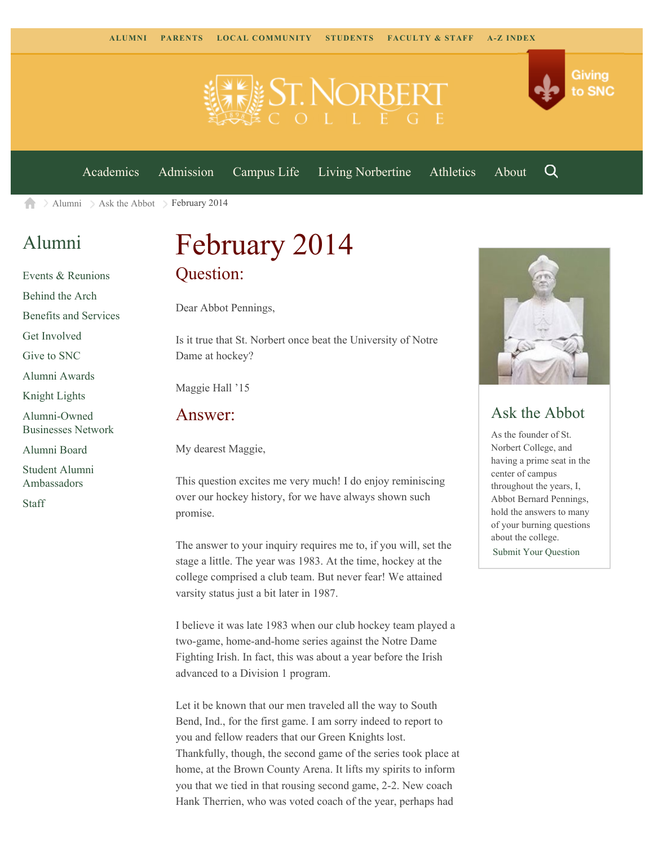

[Academics](https://www.snc.edu/academics) [Admission](https://www.snc.edu/admission) [Campus Life](https://www.snc.edu/campuslife) [Living Norbertine](https://www.snc.edu/livingnorbertine) [Athletics](https://www.snc.edu/athletics) [About](https://www.snc.edu/about)

Q

Giving

to SNC

[Alumni](https://www.snc.edu/alumni/)  $\geq$  [Ask the Abbot](https://www.snc.edu/alumni/abbot/)  $\geq$  February 2014 合

### [Alumni](https://www.snc.edu/alumni/index.html)

[Events & Reunions](https://www.snc.edu/alumni/event/index.html) [Behind the Arch](https://www.snc.edu/alumni/event/behindthearch/) [Benefits and Services](https://www.snc.edu/alumni/benefits.html) [Get Involved](https://www.snc.edu/alumni/getinvolved.html) [Give to SNC](http://giving.snc.edu/) [Alumni Awards](https://www.snc.edu/alumni/awards/index.html) [Knight Lights](https://www.snc.edu/alumni/knightlights/index.html) [Alumni-Owned](https://www.snc.edu/alumni/directory/index.html) [Businesses Network](https://www.snc.edu/alumni/directory/index.html) [Alumni Board](https://www.snc.edu/alumni/alumniboard.html) [Student Alumni](https://www.snc.edu/alumni/saa.html) [Ambassadors](https://www.snc.edu/alumni/saa.html) [Staff](https://www.snc.edu/alumni/contactus.html)

# February 2014 Question:

Dear Abbot Pennings,

Is it true that St. Norbert once beat the University of Notre Dame at hockey?

Maggie Hall '15

#### Answer:

My dearest Maggie,

This question excites me very much! I do enjoy reminiscing over our hockey history, for we have always shown such promise.

The answer to your inquiry requires me to, if you will, set the stage a little. The year was 1983. At the time, hockey at the college comprised a club team. But never fear! We attained varsity status just a bit later in 1987.

I believe it was late 1983 when our club hockey team played a two-game, home-and-home series against the Notre Dame Fighting Irish. In fact, this was about a year before the Irish advanced to a Division 1 program.

Let it be known that our men traveled all the way to South Bend, Ind., for the first game. I am sorry indeed to report to you and fellow readers that our Green Knights lost. Thankfully, though, the second game of the series took place at home, at the Brown County Arena. It lifts my spirits to inform you that we tied in that rousing second game, 2-2. New coach Hank Therrien, who was voted coach of the year, perhaps had



### Ask the Abbot

As the founder of St. Norbert College, and having a prime seat in the center of campus throughout the years, I, Abbot Bernard Pennings, hold the answers to many of your burning questions about the college. [Submit Your Question](https://www.snc.edu/alumni/abbot/index.html)